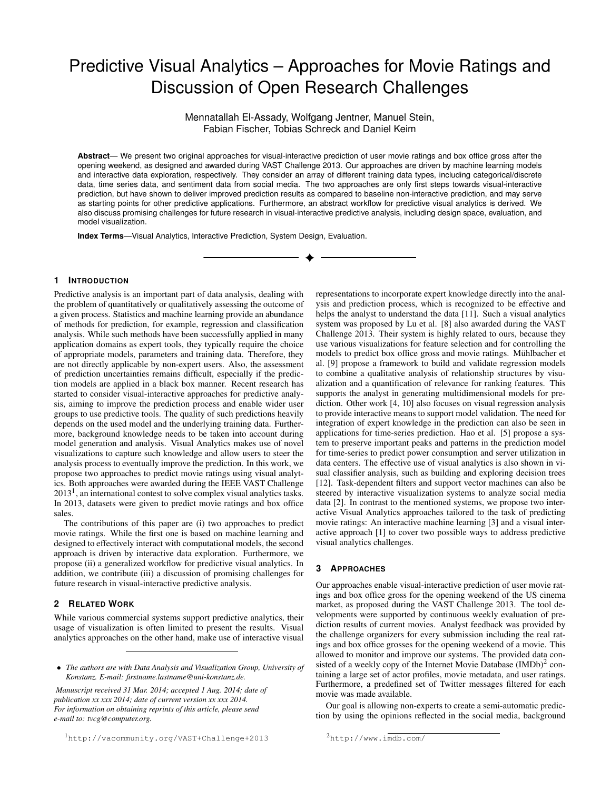# Predictive Visual Analytics – Approaches for Movie Ratings and Discussion of Open Research Challenges

Mennatallah El-Assady, Wolfgang Jentner, Manuel Stein, Fabian Fischer, Tobias Schreck and Daniel Keim

**Abstract**— We present two original approaches for visual-interactive prediction of user movie ratings and box office gross after the opening weekend, as designed and awarded during VAST Challenge 2013. Our approaches are driven by machine learning models and interactive data exploration, respectively. They consider an array of different training data types, including categorical/discrete data, time series data, and sentiment data from social media. The two approaches are only first steps towards visual-interactive prediction, but have shown to deliver improved prediction results as compared to baseline non-interactive prediction, and may serve as starting points for other predictive applications. Furthermore, an abstract workflow for predictive visual analytics is derived. We also discuss promising challenges for future research in visual-interactive predictive analysis, including design space, evaluation, and model visualization.

**Index Terms**—Visual Analytics, Interactive Prediction, System Design, Evaluation.

### **1 INTRODUCTION**

Predictive analysis is an important part of data analysis, dealing with the problem of quantitatively or qualitatively assessing the outcome of a given process. Statistics and machine learning provide an abundance of methods for prediction, for example, regression and classification analysis. While such methods have been successfully applied in many application domains as expert tools, they typically require the choice of appropriate models, parameters and training data. Therefore, they are not directly applicable by non-expert users. Also, the assessment of prediction uncertainties remains difficult, especially if the prediction models are applied in a black box manner. Recent research has started to consider visual-interactive approaches for predictive analysis, aiming to improve the prediction process and enable wider user groups to use predictive tools. The quality of such predictions heavily depends on the used model and the underlying training data. Furthermore, background knowledge needs to be taken into account during model generation and analysis. Visual Analytics makes use of novel visualizations to capture such knowledge and allow users to steer the analysis process to eventually improve the prediction. In this work, we propose two approaches to predict movie ratings using visual analytics. Both approaches were awarded during the IEEE VAST Challenge  $2013<sup>1</sup>$  $2013<sup>1</sup>$  $2013<sup>1</sup>$ , an international contest to solve complex visual analytics tasks. In 2013, datasets were given to predict movie ratings and box office sales.

The contributions of this paper are (i) two approaches to predict movie ratings. While the first one is based on machine learning and designed to effectively interact with computational models, the second approach is driven by interactive data exploration. Furthermore, we propose (ii) a generalized workflow for predictive visual analytics. In addition, we contribute (iii) a discussion of promising challenges for future research in visual-interactive predictive analysis.

## **2 RELATED WORK**

While various commercial systems support predictive analytics, their usage of visualization is often limited to present the results. Visual analytics approaches on the other hand, make use of interactive visual

*Manuscript received 31 Mar. 2014; accepted 1 Aug. 2014; date of publication xx xxx 2014; date of current version xx xxx 2014. For information on obtaining reprints of this article, please send e-mail to: tvcg@computer.org.*

representations to incorporate expert knowledge directly into the analysis and prediction process, which is recognized to be effective and helps the analyst to understand the data [\[11\]](#page-3-0). Such a visual analytics system was proposed by Lu et al. [\[8\]](#page-3-1) also awarded during the VAST Challenge 2013. Their system is highly related to ours, because they use various visualizations for feature selection and for controlling the models to predict box office gross and movie ratings. Mühlbacher et al. [\[9\]](#page-3-2) propose a framework to build and validate regression models to combine a qualitative analysis of relationship structures by visualization and a quantification of relevance for ranking features. This supports the analyst in generating multidimensional models for prediction. Other work [\[4,](#page-3-3) [10\]](#page-3-4) also focuses on visual regression analysis to provide interactive means to support model validation. The need for integration of expert knowledge in the prediction can also be seen in applications for time-series prediction. Hao et al. [\[5\]](#page-3-5) propose a system to preserve important peaks and patterns in the prediction model for time-series to predict power consumption and server utilization in data centers. The effective use of visual analytics is also shown in visual classifier analysis, such as building and exploring decision trees [\[12\]](#page-3-6). Task-dependent filters and support vector machines can also be steered by interactive visualization systems to analyze social media data [\[2\]](#page-3-7). In contrast to the mentioned systems, we propose two interactive Visual Analytics approaches tailored to the task of predicting movie ratings: An interactive machine learning [\[3\]](#page-3-8) and a visual interactive approach [\[1\]](#page-3-9) to cover two possible ways to address predictive visual analytics challenges.

#### <span id="page-0-2"></span>**3 APPROACHES**

Our approaches enable visual-interactive prediction of user movie ratings and box office gross for the opening weekend of the US cinema market, as proposed during the VAST Challenge 2013. The tool developments were supported by continuous weekly evaluation of prediction results of current movies. Analyst feedback was provided by the challenge organizers for every submission including the real ratings and box office grosses for the opening weekend of a movie. This allowed to monitor and improve our systems. The provided data consisted of a weekly copy of the Internet Movie Database  $(IMDb)^2$  $(IMDb)^2$  containing a large set of actor profiles, movie metadata, and user ratings. Furthermore, a predefined set of Twitter messages filtered for each movie was made available.

<span id="page-0-1"></span>Our goal is allowing non-experts to create a semi-automatic prediction by using the opinions reflected in the social media, background

<sup>•</sup> *The authors are with Data Analysis and Visualization Group, University of Konstanz. E-mail: firstname.lastname@uni-konstanz.de.*

<span id="page-0-0"></span><sup>1</sup><http://vacommunity.org/VAST+Challenge+2013>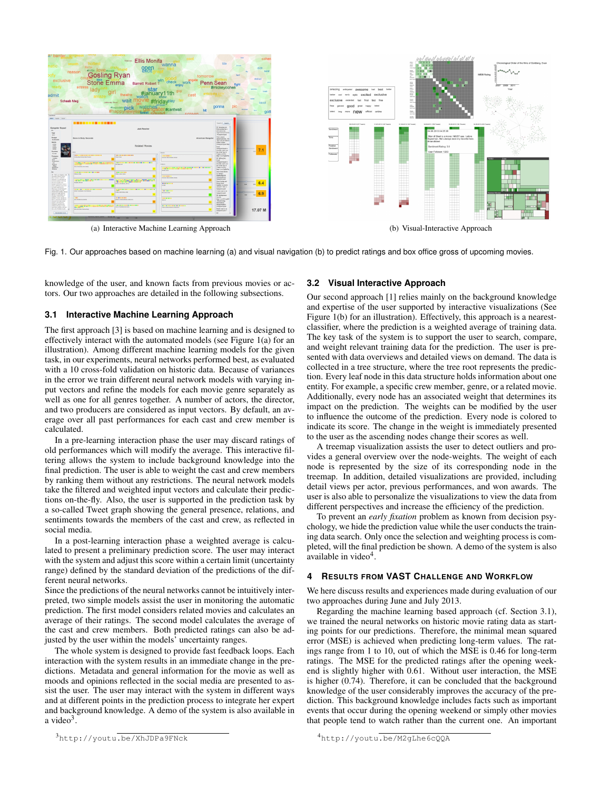<span id="page-1-0"></span>

| reason<br>exclusive<br>admit<br><b>Schaab Meg</b><br>Look Monte<br>sen 1                                                                                                                                                                                                                                                                                                                                                                                                                                                                                              | shope <b>OVC</b> essent<br><b>Gosling Ryan</b><br>Stone Emma<br>actress<br>lady<br><b>Jablensky Steve</b>                                                                   | <b>Ellis Monifa</b><br>gpen<br>Barrett Robert T <sup>Win</sup><br>star<br>#january11th<br>wait<br><b>Philosophis pick</b> | wanna<br>tomorrow<br>check<br>work<br>cast<br>#fridav <sup>pla</sup><br>#cantwait<br>hit<br>corpon                                                              | <b>Penn Sean</b><br>fight<br>#mickeycohen<br>gonna<br><b>DOM NO</b>                                                                                                                                                                                                                                                                                                                                                                                                                                                                            | cohe<br>didn.<br>5400<br>distract<br>househ<br>bleed<br>gott | amazing antiquent awesome bad best better<br>exclusive<br>hattar<br>excited<br>epic<br>cool<br>exclusive<br>first<br>extercied<br>final<br>latest<br>hee.<br>good<br>great<br>hisppy<br>general<br>more new official online<br>Seats)<br>long | <b>IST TO</b><br>1111<br>m<br>(turn)<br>Van<br>$\frac{1}{2}$<br>m.<br>Bolan<br><b>Service</b><br>test<br>$\sim$<br>ten.<br>Vegen<br><b>DATES</b><br>tur.<br>per lists<br>tana. | on't yaal aaawyl ul yl yl y<br><b>111111</b><br>THE I                                                                                                                                                                                         | Chronological Order of the films of Goldberg, Evan<br>1000gola<br><b>IMDB Rating</b><br>2009 2011<br>2007 |  |
|-----------------------------------------------------------------------------------------------------------------------------------------------------------------------------------------------------------------------------------------------------------------------------------------------------------------------------------------------------------------------------------------------------------------------------------------------------------------------------------------------------------------------------------------------------------------------|-----------------------------------------------------------------------------------------------------------------------------------------------------------------------------|---------------------------------------------------------------------------------------------------------------------------|-----------------------------------------------------------------------------------------------------------------------------------------------------------------|------------------------------------------------------------------------------------------------------------------------------------------------------------------------------------------------------------------------------------------------------------------------------------------------------------------------------------------------------------------------------------------------------------------------------------------------------------------------------------------------------------------------------------------------|--------------------------------------------------------------|-----------------------------------------------------------------------------------------------------------------------------------------------------------------------------------------------------------------------------------------------|--------------------------------------------------------------------------------------------------------------------------------------------------------------------------------|-----------------------------------------------------------------------------------------------------------------------------------------------------------------------------------------------------------------------------------------------|-----------------------------------------------------------------------------------------------------------|--|
| Gangster Squad<br>Year<br>pass.<br><b>Budget</b><br>01.001.000<br><b>Genre</b><br>$-10500$<br>$-1000$<br>$-1000$<br>d.<br>Rundes<br>娜<br><b>Hilmin</b><br>Company<br>Park.<br>$\frac{1}{2}$<br>Persons<br>In 1949 Los Anados, and                                                                                                                                                                                                                                                                                                                                     | --------------<br><b>Gone in Sixty Seconds</b><br><br><br>backer, backers<br>                                                                                               | <b>Jack Reacher</b><br><b>Related Movies</b><br><br><br><b>Well-More State</b><br>---------<br><b>START AND LONGE</b>     | <b>American Ganceter</b><br><br><b>MARINE BALLARY BAR</b><br><b>Barmer, Bears</b>                                                                               | lard ( least<br><b>BY @rentarnet</b><br><b>Row policy has a</b><br>ary mess ag<br><b>BATTYTYTYTTI</b><br>Kaynelgat<br>Not a winny<br><b>Gibrance</b> , At<br>how you me takeout<br>dilary new.<br><b>Keymfyel fle</b><br><b>HieroneSpad to</b><br><b>Haddie, lends and</b><br>he of the Tap 10<br><b>Dales of 2012</b><br>My Louis Colletin<br>RT @Pasi.Box<br>Peas.<br><b>Keywork</b><br><b>Kedda</b> kee's an<br>he of the Tim 10<br><b>Dales of 2002</b><br>Mel Keninhalfelin<br><b>Suit Good Maries</b><br>De Sesson 1<br><b>Hatallung</b> |                                                              | 30-55.0113 (ST Tweets)<br>51.05.2013 (126 Teach)<br>Sectioned<br><b>Time</b><br>Postve<br>Sentimen<br>Tollowers                                                                                                                               | 01.06.0013 (129 Tweeb)                                                                                                                                                         | 12.06.2013 (156 Tessats)<br>03-06.0013 (184 Tweeb)<br>04.06.2013.04.25:38<br>Man of Steel is a movie I MUST see. I adore<br>Superman. He's always been my favorite hero<br><b>#manofsteel</b><br>Sentiment Rating: 3.0<br>User Follower: 1263 | 64.06.3513 (234 Texate)                                                                                   |  |
| projection of the<br>ennis stub e no chi<br><b>Big MA Deadle and</b><br>arges prepares picture<br>and is willing for cross for<br>artasti apenal kin.<br><b>Execute amount Learner</b><br>John Dillars, a former<br><b>Work the EndSat add</b><br>positive cutter with his<br>Bridy in a peaceful Line<br><b>WEIGHT-Partier destrated &amp;</b><br><b>Retruit care to drug affair</b><br>PROJECT & CO'BOX (State)<br>Future, and diseases<br>Ware's lead by unit<br>Things changes & copy<br>and solo ancher tra and<br>ALL Armitrades in Jun.<br><b>Received Ave</b> | <br>----<br><b>***********************</b><br>Lette Trackbacks, Trackbacks<br>1941<br><b>East Anade Even Month</b><br><br><b>THEFT</b><br><b>Auto Mini Multi McAdoo Box</b> | <b>Can and Miller Attn At</b><br><br><b></b><br><b>LOS ATTURNS</b><br><br>dears, in there (demonst clattery)<br>          | <br><b>Detroites Sales Electric Artist</b><br><br><br><b>MOVED, NOR</b><br><br><b>DOM:</b><br><b>ASSAULT AN ARTICLES</b><br><b>Detroit McGrad Entrepreneurs</b> | niversitess<br><b>Pyingstern quant</b><br><b>Box Godes and</b><br>Form Sync<br><b>Norther's a month</b><br>abazer tex of<br>represent<br>I had a want to can<br><b>Ppmpmmquat</b><br><b>IT Grippines</b><br>Seven.<br>My/Lo/OS/up3<br>streetwing<br><b>d'assistant</b><br><b>Harrifolder</b><br>rCasportiped<br><b>BACK WHAT IS NOT</b><br><b>Pyrenment</b> !!<br><b>xx</b>                                                                                                                                                                    | 6.4<br>6.58<br>$\overline{6.9}$<br>17.07 M                   |                                                                                                                                                                                                                                               | ä,                                                                                                                                                                             |                                                                                                                                                                                                                                               | un n<br><b>Int Modes</b><br>ш<br>▦                                                                        |  |
| (a) Interactive Machine Learning Approach                                                                                                                                                                                                                                                                                                                                                                                                                                                                                                                             |                                                                                                                                                                             |                                                                                                                           |                                                                                                                                                                 |                                                                                                                                                                                                                                                                                                                                                                                                                                                                                                                                                |                                                              |                                                                                                                                                                                                                                               | (b) Visual-Interactive Approach                                                                                                                                                |                                                                                                                                                                                                                                               |                                                                                                           |  |

Fig. 1. Our approaches based on machine learning (a) and visual navigation (b) to predict ratings and box office gross of upcoming movies.

knowledge of the user, and known facts from previous movies or actors. Our two approaches are detailed in the following subsections.

### <span id="page-1-4"></span>**3.1 Interactive Machine Learning Approach**

The first approach [\[3\]](#page-3-8) is based on machine learning and is designed to effectively interact with the automated models (see Figure [1\(a\)](#page-1-0) for an illustration). Among different machine learning models for the given task, in our experiments, neural networks performed best, as evaluated with a 10 cross-fold validation on historic data. Because of variances in the error we train different neural network models with varying input vectors and refine the models for each movie genre separately as well as one for all genres together. A number of actors, the director, and two producers are considered as input vectors. By default, an average over all past performances for each cast and crew member is calculated.

In a pre-learning interaction phase the user may discard ratings of old performances which will modify the average. This interactive filtering allows the system to include background knowledge into the final prediction. The user is able to weight the cast and crew members by ranking them without any restrictions. The neural network models take the filtered and weighted input vectors and calculate their predictions on-the-fly. Also, the user is supported in the prediction task by a so-called Tweet graph showing the general presence, relations, and sentiments towards the members of the cast and crew, as reflected in social media.

In a post-learning interaction phase a weighted average is calculated to present a preliminary prediction score. The user may interact with the system and adjust this score within a certain limit (uncertainty range) defined by the standard deviation of the predictions of the different neural networks.

Since the predictions of the neural networks cannot be intuitively interpreted, two simple models assist the user in monitoring the automatic prediction. The first model considers related movies and calculates an average of their ratings. The second model calculates the average of the cast and crew members. Both predicted ratings can also be adjusted by the user within the models' uncertainty ranges.

The whole system is designed to provide fast feedback loops. Each interaction with the system results in an immediate change in the predictions. Metadata and general information for the movie as well as moods and opinions reflected in the social media are presented to assist the user. The user may interact with the system in different ways and at different points in the prediction process to integrate her expert and background knowledge. A demo of the system is also available in a video $3$ .

### <span id="page-1-5"></span><span id="page-1-2"></span>**3.2 Visual Interactive Approach**

Our second approach [\[1\]](#page-3-9) relies mainly on the background knowledge and expertise of the user supported by interactive visualizations (See Figure [1\(b\)](#page-1-2) for an illustration). Effectively, this approach is a nearestclassifier, where the prediction is a weighted average of training data. The key task of the system is to support the user to search, compare, and weight relevant training data for the prediction. The user is presented with data overviews and detailed views on demand. The data is collected in a tree structure, where the tree root represents the prediction. Every leaf node in this data structure holds information about one entity. For example, a specific crew member, genre, or a related movie. Additionally, every node has an associated weight that determines its impact on the prediction. The weights can be modified by the user to influence the outcome of the prediction. Every node is colored to indicate its score. The change in the weight is immediately presented to the user as the ascending nodes change their scores as well.

A treemap visualization assists the user to detect outliers and provides a general overview over the node-weights. The weight of each node is represented by the size of its corresponding node in the treemap. In addition, detailed visualizations are provided, including detail views per actor, previous performances, and won awards. The user is also able to personalize the visualizations to view the data from different perspectives and increase the efficiency of the prediction.

To prevent an *early fixation* problem as known from decision psychology, we hide the prediction value while the user conducts the training data search. Only once the selection and weighting process is completed, will the final prediction be shown. A demo of the system is also available in video<sup>[4](#page-1-3)</sup>.

## **4 RESULTS FROM VAST CHALLENGE AND WORKFLOW**

We here discuss results and experiences made during evaluation of our two approaches during June and July 2013.

Regarding the machine learning based approach (cf. Section [3.1\)](#page-1-4), we trained the neural networks on historic movie rating data as starting points for our predictions. Therefore, the minimal mean squared error (MSE) is achieved when predicting long-term values. The ratings range from 1 to 10, out of which the MSE is 0.46 for long-term ratings. The MSE for the predicted ratings after the opening weekend is slightly higher with 0.61. Without user interaction, the MSE is higher (0.74). Therefore, it can be concluded that the background knowledge of the user considerably improves the accuracy of the prediction. This background knowledge includes facts such as important events that occur during the opening weekend or simply other movies that people tend to watch rather than the current one. An important

<span id="page-1-3"></span><sup>4</sup><http://youtu.be/M2gLhe6cQQA>

<span id="page-1-1"></span><sup>3</sup><http://youtu.be/XhJDPa9FNck>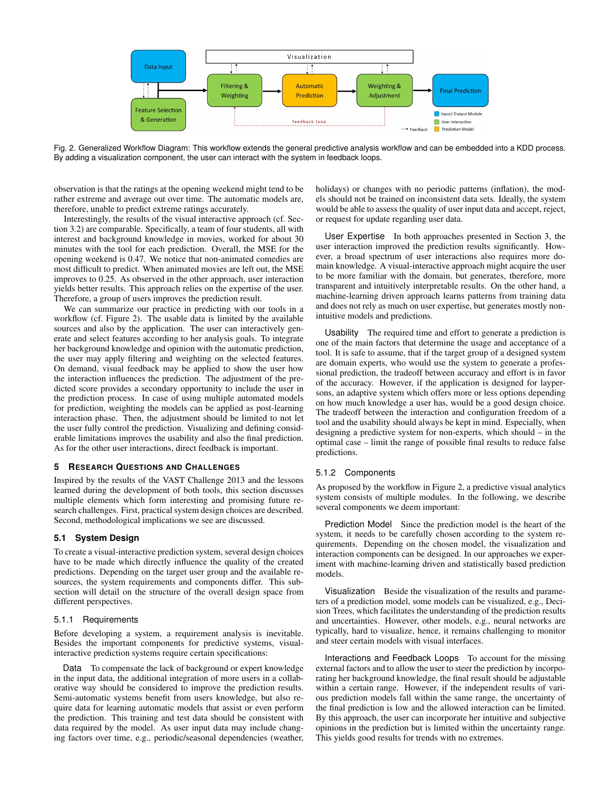

<span id="page-2-0"></span>Fig. 2. Generalized Workflow Diagram: This workflow extends the general predictive analysis workflow and can be embedded into a KDD process. By adding a visualization component, the user can interact with the system in feedback loops.

observation is that the ratings at the opening weekend might tend to be rather extreme and average out over time. The automatic models are, therefore, unable to predict extreme ratings accurately.

Interestingly, the results of the visual interactive approach (cf. Section [3.2\)](#page-1-5) are comparable. Specifically, a team of four students, all with interest and background knowledge in movies, worked for about 30 minutes with the tool for each prediction. Overall, the MSE for the opening weekend is 0.47. We notice that non-animated comedies are most difficult to predict. When animated movies are left out, the MSE improves to 0.25. As observed in the other approach, user interaction yields better results. This approach relies on the expertise of the user. Therefore, a group of users improves the prediction result.

We can summarize our practice in predicting with our tools in a workflow (cf. Figure [2\)](#page-2-0). The usable data is limited by the available sources and also by the application. The user can interactively generate and select features according to her analysis goals. To integrate her background knowledge and opinion with the automatic prediction, the user may apply filtering and weighting on the selected features. On demand, visual feedback may be applied to show the user how the interaction influences the prediction. The adjustment of the predicted score provides a secondary opportunity to include the user in the prediction process. In case of using multiple automated models for prediction, weighting the models can be applied as post-learning interaction phase. Then, the adjustment should be limited to not let the user fully control the prediction. Visualizing and defining considerable limitations improves the usability and also the final prediction. As for the other user interactions, direct feedback is important.

## **5 RESEARCH QUESTIONS AND CHALLENGES**

Inspired by the results of the VAST Challenge 2013 and the lessons learned during the development of both tools, this section discusses multiple elements which form interesting and promising future research challenges. First, practical system design choices are described. Second, methodological implications we see are discussed.

## **5.1 System Design**

To create a visual-interactive prediction system, several design choices have to be made which directly influence the quality of the created predictions. Depending on the target user group and the available resources, the system requirements and components differ. This subsection will detail on the structure of the overall design space from different perspectives.

## 5.1.1 Requirements

Before developing a system, a requirement analysis is inevitable. Besides the important components for predictive systems, visualinteractive prediction systems require certain specifications:

Data To compensate the lack of background or expert knowledge in the input data, the additional integration of more users in a collaborative way should be considered to improve the prediction results. Semi-automatic systems benefit from users knowledge, but also require data for learning automatic models that assist or even perform the prediction. This training and test data should be consistent with data required by the model. As user input data may include changing factors over time, e.g., periodic/seasonal dependencies (weather,

holidays) or changes with no periodic patterns (inflation), the models should not be trained on inconsistent data sets. Ideally, the system would be able to assess the quality of user input data and accept, reject, or request for update regarding user data.

User Expertise In both approaches presented in Section [3,](#page-0-2) the user interaction improved the prediction results significantly. However, a broad spectrum of user interactions also requires more domain knowledge. A visual-interactive approach might acquire the user to be more familiar with the domain, but generates, therefore, more transparent and intuitively interpretable results. On the other hand, a machine-learning driven approach learns patterns from training data and does not rely as much on user expertise, but generates mostly nonintuitive models and predictions.

Usability The required time and effort to generate a prediction is one of the main factors that determine the usage and acceptance of a tool. It is safe to assume, that if the target group of a designed system are domain experts, who would use the system to generate a professional prediction, the tradeoff between accuracy and effort is in favor of the accuracy. However, if the application is designed for laypersons, an adaptive system which offers more or less options depending on how much knowledge a user has, would be a good design choice. The tradeoff between the interaction and configuration freedom of a tool and the usability should always be kept in mind. Especially, when designing a predictive system for non-experts, which should – in the optimal case – limit the range of possible final results to reduce false predictions.

# 5.1.2 Components

As proposed by the workflow in Figure [2,](#page-2-0) a predictive visual analytics system consists of multiple modules. In the following, we describe several components we deem important:

Prediction Model Since the prediction model is the heart of the system, it needs to be carefully chosen according to the system requirements. Depending on the chosen model, the visualization and interaction components can be designed. In our approaches we experiment with machine-learning driven and statistically based prediction models.

Visualization Beside the visualization of the results and parameters of a prediction model, some models can be visualized, e.g., Decision Trees, which facilitates the understanding of the prediction results and uncertainties. However, other models, e.g., neural networks are typically, hard to visualize, hence, it remains challenging to monitor and steer certain models with visual interfaces.

Interactions and Feedback Loops To account for the missing external factors and to allow the user to steer the prediction by incorporating her background knowledge, the final result should be adjustable within a certain range. However, if the independent results of various prediction models fall within the same range, the uncertainty of the final prediction is low and the allowed interaction can be limited. By this approach, the user can incorporate her intuitive and subjective opinions in the prediction but is limited within the uncertainty range. This yields good results for trends with no extremes.